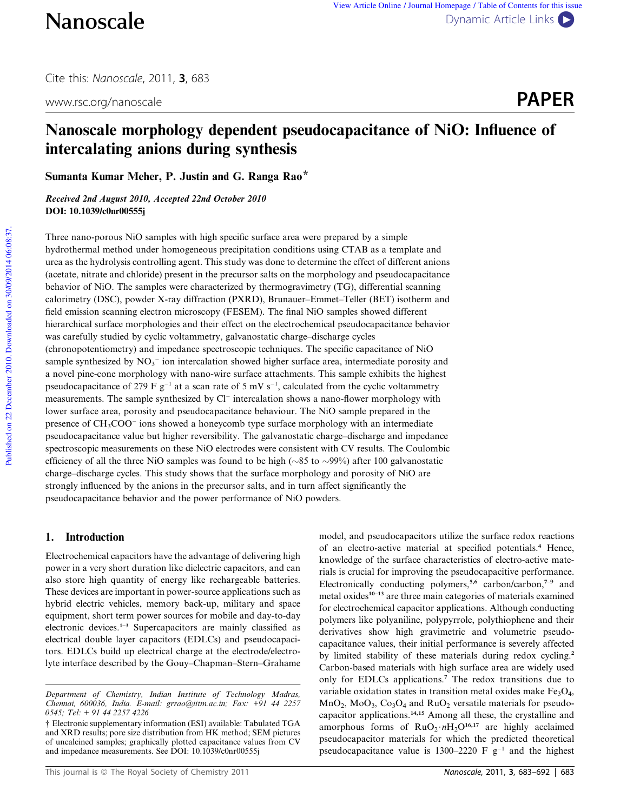Cite this: Nanoscale, 2011, 3, 683



# Nanoscale morphology dependent pseudocapacitance of NiO: Influence of intercalating anions during synthesis

Sumanta Kumar Meher, P. Justin and G. Ranga Rao\*

Received 2nd August 2010, Accepted 22nd October 2010 DOI: 10.1039/c0nr00555j

Three nano-porous NiO samples with high specific surface area were prepared by a simple hydrothermal method under homogeneous precipitation conditions using CTAB as a template and urea as the hydrolysis controlling agent. This study was done to determine the effect of different anions (acetate, nitrate and chloride) present in the precursor salts on the morphology and pseudocapacitance behavior of NiO. The samples were characterized by thermogravimetry (TG), differential scanning calorimetry (DSC), powder X-ray diffraction (PXRD), Brunauer–Emmet–Teller (BET) isotherm and field emission scanning electron microscopy (FESEM). The final NiO samples showed different hierarchical surface morphologies and their effect on the electrochemical pseudocapacitance behavior was carefully studied by cyclic voltammetry, galvanostatic charge–discharge cycles (chronopotentiometry) and impedance spectroscopic techniques. The specific capacitance of NiO sample synthesized by  $NO<sub>3</sub><sup>-</sup>$  ion intercalation showed higher surface area, intermediate porosity and a novel pine-cone morphology with nano-wire surface attachments. This sample exhibits the highest pseudocapacitance of 279 F  $g^{-1}$  at a scan rate of 5 mV s<sup>-1</sup>, calculated from the cyclic voltammetry measurements. The sample synthesized by Cl<sup>-</sup> intercalation shows a nano-flower morphology with lower surface area, porosity and pseudocapacitance behaviour. The NiO sample prepared in the presence of CH<sub>3</sub>COO<sup>-</sup> ions showed a honeycomb type surface morphology with an intermediate pseudocapacitance value but higher reversibility. The galvanostatic charge–discharge and impedance spectroscopic measurements on these NiO electrodes were consistent with CV results. The Coulombic efficiency of all the three NiO samples was found to be high ( $\sim$ 85 to  $\sim$ 99%) after 100 galvanostatic charge–discharge cycles. This study shows that the surface morphology and porosity of NiO are strongly influenced by the anions in the precursor salts, and in turn affect significantly the pseudocapacitance behavior and the power performance of NiO powders.

## 1. Introduction

Electrochemical capacitors have the advantage of delivering high power in a very short duration like dielectric capacitors, and can also store high quantity of energy like rechargeable batteries. These devices are important in power-source applications such as hybrid electric vehicles, memory back-up, military and space equipment, short term power sources for mobile and day-to-day electronic devices.1–3 Supercapacitors are mainly classified as electrical double layer capacitors (EDLCs) and pseudocapacitors. EDLCs build up electrical charge at the electrode/electrolyte interface described by the Gouy–Chapman–Stern–Grahame model, and pseudocapacitors utilize the surface redox reactions of an electro-active material at specified potentials.<sup>4</sup> Hence, knowledge of the surface characteristics of electro-active materials is crucial for improving the pseudocapacitive performance. Electronically conducting polymers,<sup>5,6</sup> carbon/carbon,<sup>7-9</sup> and metal oxides<sup>10–13</sup> are three main categories of materials examined for electrochemical capacitor applications. Although conducting polymers like polyaniline, polypyrrole, polythiophene and their derivatives show high gravimetric and volumetric pseudocapacitance values, their initial performance is severely affected by limited stability of these materials during redox cycling.<sup>2</sup> Carbon-based materials with high surface area are widely used only for EDLCs applications.<sup>7</sup> The redox transitions due to variable oxidation states in transition metal oxides make  $Fe<sub>3</sub>O<sub>4</sub>$ ,  $MnO_2$ ,  $MoO_3$ ,  $Co_3O_4$  and  $RuO_2$  versatile materials for pseudocapacitor applications.14,15 Among all these, the crystalline and amorphous forms of  $RuO<sub>2</sub>·nH<sub>2</sub>O<sup>16,17</sup>$  are highly acclaimed pseudocapacitor materials for which the predicted theoretical pseudocapacitance value is 1300–2220 F  $g^{-1}$  and the highest

*Department of Chemistry, Indian Institute of Technology Madras, Chennai, 600036, India. E-mail: grrao@iitm.ac.in; Fax: +91 44 2257 0545; Tel: + 91 44 2257 4226*

<sup>†</sup> Electronic supplementary information (ESI) available: Tabulated TGA and XRD results; pore size distribution from HK method; SEM pictures of uncalcined samples; graphically plotted capacitance values from CV and impedance measurements. See DOI: 10.1039/c0nr00555j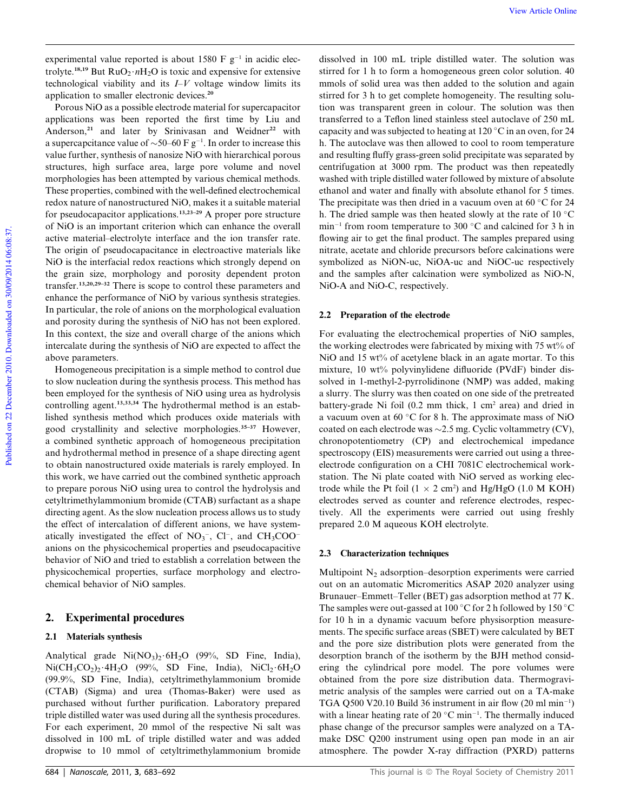experimental value reported is about  $1580 \text{ F g}^{-1}$  in acidic electrolyte.<sup>18,19</sup> But  $RuO<sub>2</sub>·nH<sub>2</sub>O$  is toxic and expensive for extensive technological viability and its *I*–*V* voltage window limits its application to smaller electronic devices.<sup>20</sup>

Porous NiO as a possible electrode material for supercapacitor applications was been reported the first time by Liu and Anderson,<sup>21</sup> and later by Srinivasan and Weidner<sup>22</sup> with a supercapcitance value of  $\sim$ 50–60 F g<sup>-1</sup>. In order to increase this value further, synthesis of nanosize NiO with hierarchical porous structures, high surface area, large pore volume and novel morphologies has been attempted by various chemical methods. These properties, combined with the well-defined electrochemical redox nature of nanostructured NiO, makes it a suitable material for pseudocapacitor applications.13,23–29 A proper pore structure of NiO is an important criterion which can enhance the overall active material–electrolyte interface and the ion transfer rate. The origin of pseudocapacitance in electroactive materials like NiO is the interfacial redox reactions which strongly depend on the grain size, morphology and porosity dependent proton transfer.13,20,29–32 There is scope to control these parameters and enhance the performance of NiO by various synthesis strategies. In particular, the role of anions on the morphological evaluation and porosity during the synthesis of NiO has not been explored. In this context, the size and overall charge of the anions which intercalate during the synthesis of NiO are expected to affect the above parameters.

Homogeneous precipitation is a simple method to control due to slow nucleation during the synthesis process. This method has been employed for the synthesis of NiO using urea as hydrolysis controlling agent.<sup>13,33,34</sup> The hydrothermal method is an established synthesis method which produces oxide materials with good crystallinity and selective morphologies.<sup>35-37</sup> However, a combined synthetic approach of homogeneous precipitation and hydrothermal method in presence of a shape directing agent to obtain nanostructured oxide materials is rarely employed. In this work, we have carried out the combined synthetic approach to prepare porous NiO using urea to control the hydrolysis and cetyltrimethylammonium bromide (CTAB) surfactant as a shape directing agent. As the slow nucleation process allows us to study the effect of intercalation of different anions, we have systematically investigated the effect of  $NO<sub>3</sub><sup>-</sup>$ , Cl<sup>-</sup>, and CH<sub>3</sub>COO<sup>-</sup> anions on the physicochemical properties and pseudocapacitive behavior of NiO and tried to establish a correlation between the physicochemical properties, surface morphology and electrochemical behavior of NiO samples.

### 2. Experimental procedures

#### 2.1 Materials synthesis

Analytical grade  $Ni(NO<sub>3</sub>)<sub>2</sub>·6H<sub>2</sub>O$  (99%, SD Fine, India),  $Ni(CH_3CO_2)_2 \cdot 4H_2O$  (99%, SD Fine, India),  $NiCl_2 \cdot 6H_2O$ (99.9%, SD Fine, India), cetyltrimethylammonium bromide (CTAB) (Sigma) and urea (Thomas-Baker) were used as purchased without further purification. Laboratory prepared triple distilled water was used during all the synthesis procedures. For each experiment, 20 mmol of the respective Ni salt was dissolved in 100 mL of triple distilled water and was added dropwise to 10 mmol of cetyltrimethylammonium bromide

dissolved in 100 mL triple distilled water. The solution was stirred for 1 h to form a homogeneous green color solution. 40 mmols of solid urea was then added to the solution and again stirred for 3 h to get complete homogeneity. The resulting solution was transparent green in colour. The solution was then transferred to a Teflon lined stainless steel autoclave of 250 mL capacity and was subjected to heating at  $120\degree C$  in an oven, for 24 h. The autoclave was then allowed to cool to room temperature and resulting fluffy grass-green solid precipitate was separated by centrifugation at 3000 rpm. The product was then repeatedly washed with triple distilled water followed by mixture of absolute ethanol and water and finally with absolute ethanol for 5 times. The precipitate was then dried in a vacuum oven at 60  $\degree$ C for 24 h. The dried sample was then heated slowly at the rate of 10  $^{\circ}$ C min<sup>-1</sup> from room temperature to 300  $^{\circ}$ C and calcined for 3 h in flowing air to get the final product. The samples prepared using nitrate, acetate and chloride precursors before calcinations were symbolized as NiON-uc, NiOA-uc and NiOC-uc respectively and the samples after calcination were symbolized as NiO-N, NiO-A and NiO-C, respectively.

#### 2.2 Preparation of the electrode

For evaluating the electrochemical properties of NiO samples, the working electrodes were fabricated by mixing with  $75 \text{ wt}$ % of NiO and 15 wt% of acetylene black in an agate mortar. To this mixture, 10 wt% polyvinylidene difluoride (PVdF) binder dissolved in 1-methyl-2-pyrrolidinone (NMP) was added, making a slurry. The slurry was then coated on one side of the pretreated battery-grade Ni foil (0.2 mm thick, 1 cm<sup>2</sup> area) and dried in a vacuum oven at 60 °C for 8 h. The approximate mass of NiO coated on each electrode was  $\sim$  2.5 mg. Cyclic voltammetry (CV), chronopotentiometry (CP) and electrochemical impedance spectroscopy (EIS) measurements were carried out using a threeelectrode configuration on a CHI 7081C electrochemical workstation. The Ni plate coated with NiO served as working electrode while the Pt foil  $(1 \times 2 \text{ cm}^2)$  and Hg/HgO (1.0 M KOH) electrodes served as counter and reference electrodes, respectively. All the experiments were carried out using freshly prepared 2.0 M aqueous KOH electrolyte.

#### 2.3 Characterization techniques

Multipoint  $N_2$  adsorption–desorption experiments were carried out on an automatic Micromeritics ASAP 2020 analyzer using Brunauer–Emmett–Teller (BET) gas adsorption method at 77 K. The samples were out-gassed at 100  $\rm ^{\circ}C$  for 2 h followed by 150  $\rm ^{\circ}C$ for 10 h in a dynamic vacuum before physisorption measurements. The specific surface areas (SBET) were calculated by BET and the pore size distribution plots were generated from the desorption branch of the isotherm by the BJH method considering the cylindrical pore model. The pore volumes were obtained from the pore size distribution data. Thermogravimetric analysis of the samples were carried out on a TA-make TGA Q500 V20.10 Build 36 instrument in air flow  $(20 \text{ ml min}^{-1})$ with a linear heating rate of 20  $^{\circ}$ C min<sup>-1</sup>. The thermally induced phase change of the precursor samples were analyzed on a TAmake DSC Q200 instrument using open pan mode in an air atmosphere. The powder X-ray diffraction (PXRD) patterns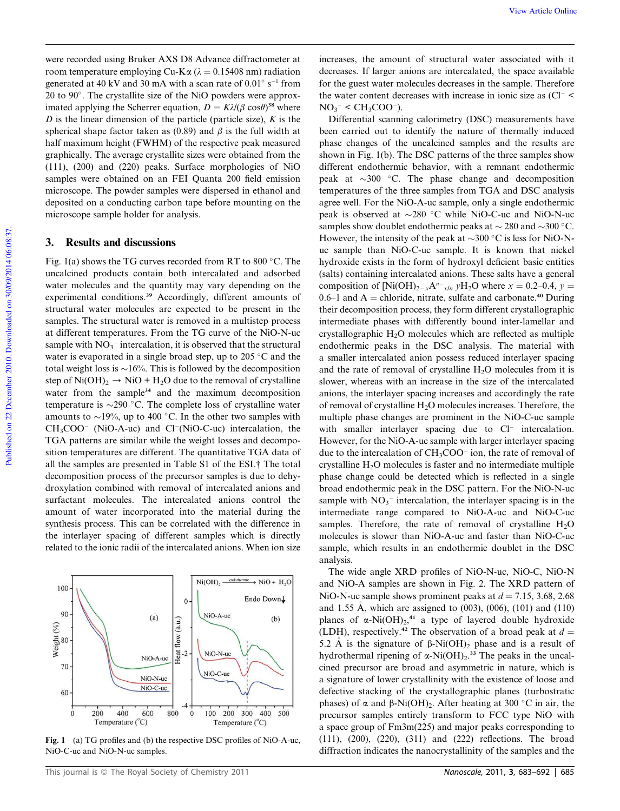were recorded using Bruker AXS D8 Advance diffractometer at room temperature employing Cu-K $\alpha$  ( $\lambda = 0.15408$  nm) radiation generated at 40 kV and 30 mA with a scan rate of  $0.01^{\circ}$  s<sup>-1</sup> from 20 to 90 . The crystallite size of the NiO powders were approximated applying the Scherrer equation,  $D = K\lambda/(\beta \cos\theta)^{38}$  where *D* is the linear dimension of the particle (particle size), *K* is the spherical shape factor taken as (0.89) and  $\beta$  is the full width at half maximum height (FWHM) of the respective peak measured graphically. The average crystallite sizes were obtained from the (111), (200) and (220) peaks. Surface morphologies of NiO samples were obtained on an FEI Quanta 200 field emission microscope. The powder samples were dispersed in ethanol and deposited on a conducting carbon tape before mounting on the microscope sample holder for analysis.

## 3. Results and discussions

Fig. 1(a) shows the TG curves recorded from RT to 800  $^{\circ}$ C. The uncalcined products contain both intercalated and adsorbed water molecules and the quantity may vary depending on the experimental conditions.<sup>39</sup> Accordingly, different amounts of structural water molecules are expected to be present in the samples. The structural water is removed in a multistep process at different temperatures. From the TG curve of the NiO-N-uc sample with  $NO<sub>3</sub><sup>-</sup>$  intercalation, it is observed that the structural water is evaporated in a single broad step, up to 205  $\degree$ C and the total weight loss is  $\sim$ 16%. This is followed by the decomposition step of Ni(OH)<sub>2</sub>  $\rightarrow$  NiO + H<sub>2</sub>O due to the removal of crystalline water from the sample<sup>34</sup> and the maximum decomposition temperature is  $\sim$ 290 °C. The complete loss of crystalline water amounts to  $\sim$ 19%, up to 400 °C. In the other two samples with  $CH<sub>3</sub>COO<sup>-</sup>$  (NiO-A-uc) and Cl<sup>-</sup>(NiO-C-uc) intercalation, the TGA patterns are similar while the weight losses and decomposition temperatures are different. The quantitative TGA data of all the samples are presented in Table S1 of the ESI.† The total decomposition process of the precursor samples is due to dehydroxylation combined with removal of intercalated anions and surfactant molecules. The intercalated anions control the amount of water incorporated into the material during the synthesis process. This can be correlated with the difference in the interlayer spacing of different samples which is directly related to the ionic radii of the intercalated anions. When ion size



Fig. 1 (a) TG profiles and (b) the respective DSC profiles of NiO-A-uc, NiO-C-uc and NiO-N-uc samples.

increases, the amount of structural water associated with it decreases. If larger anions are intercalated, the space available for the guest water molecules decreases in the sample. Therefore the water content decreases with increase in ionic size as  $\text{Cl}^ NO_3^-$  <  $CH_3COO^-$ ).

Differential scanning calorimetry (DSC) measurements have been carried out to identify the nature of thermally induced phase changes of the uncalcined samples and the results are shown in Fig. 1(b). The DSC patterns of the three samples show different endothermic behavior, with a remnant endothermic peak at  $\sim$ 300 °C. The phase change and decomposition temperatures of the three samples from TGA and DSC analysis agree well. For the NiO-A-uc sample, only a single endothermic peak is observed at  $\sim$ 280 °C while NiO-C-uc and NiO-N-uc samples show doublet endothermic peaks at  $\sim$  280 and  $\sim$ 300 °C. However, the intensity of the peak at  $\sim$ 300 °C is less for NiO-Nuc sample than NiO-C-uc sample. It is known that nickel hydroxide exists in the form of hydroxyl deficient basic entities (salts) containing intercalated anions. These salts have a general composition of  $[Ni(OH)_{2-x}A^{n-x}/n yH_2O$  where  $x = 0.2-0.4$ ,  $y =$ 0.6–1 and  $A =$ chloride, nitrate, sulfate and carbonate.<sup>40</sup> During their decomposition process, they form different crystallographic intermediate phases with differently bound inter-lamellar and crystallographic  $H_2O$  molecules which are reflected as multiple endothermic peaks in the DSC analysis. The material with a smaller intercalated anion possess reduced interlayer spacing and the rate of removal of crystalline  $H_2O$  molecules from it is slower, whereas with an increase in the size of the intercalated anions, the interlayer spacing increases and accordingly the rate of removal of crystalline H<sub>2</sub>O molecules increases. Therefore, the multiple phase changes are prominent in the NiO-C-uc sample with smaller interlayer spacing due to  $Cl^-$  intercalation. However, for the NiO-A-uc sample with larger interlayer spacing due to the intercalation of  $CH<sub>3</sub>COO<sup>-</sup>$  ion, the rate of removal of crystalline  $H<sub>2</sub>O$  molecules is faster and no intermediate multiple phase change could be detected which is reflected in a single broad endothermic peak in the DSC pattern. For the NiO-N-uc sample with  $NO<sub>3</sub><sup>-</sup>$  intercalation, the interlayer spacing is in the intermediate range compared to NiO-A-uc and NiO-C-uc samples. Therefore, the rate of removal of crystalline  $H_2O$ molecules is slower than NiO-A-uc and faster than NiO-C-uc sample, which results in an endothermic doublet in the DSC analysis.

The wide angle XRD profiles of NiO-N-uc, NiO-C, NiO-N and NiO-A samples are shown in Fig. 2. The XRD pattern of NiO-N-uc sample shows prominent peaks at  $d = 7.15, 3.68, 2.68$ and 1.55 Å, which are assigned to  $(003)$ ,  $(006)$ ,  $(101)$  and  $(110)$ planes of  $\alpha$ -Ni(OH)<sub>2</sub>,<sup>41</sup> a type of layered double hydroxide (LDH), respectively.<sup>42</sup> The observation of a broad peak at  $d =$ 5.2 Å is the signature of  $\beta$ -Ni(OH)<sub>2</sub> phase and is a result of hydrothermal ripening of  $\alpha$ -Ni(OH)<sub>2</sub>.<sup>33</sup> The peaks in the uncalcined precursor are broad and asymmetric in nature, which is a signature of lower crystallinity with the existence of loose and defective stacking of the crystallographic planes (turbostratic phases) of  $\alpha$  and  $\beta$ -Ni(OH)<sub>2</sub>. After heating at 300 °C in air, the precursor samples entirely transform to FCC type NiO with a space group of Fm3m(225) and major peaks corresponding to (111), (200), (220), (311) and (222) reflections. The broad diffraction indicates the nanocrystallinity of the samples and the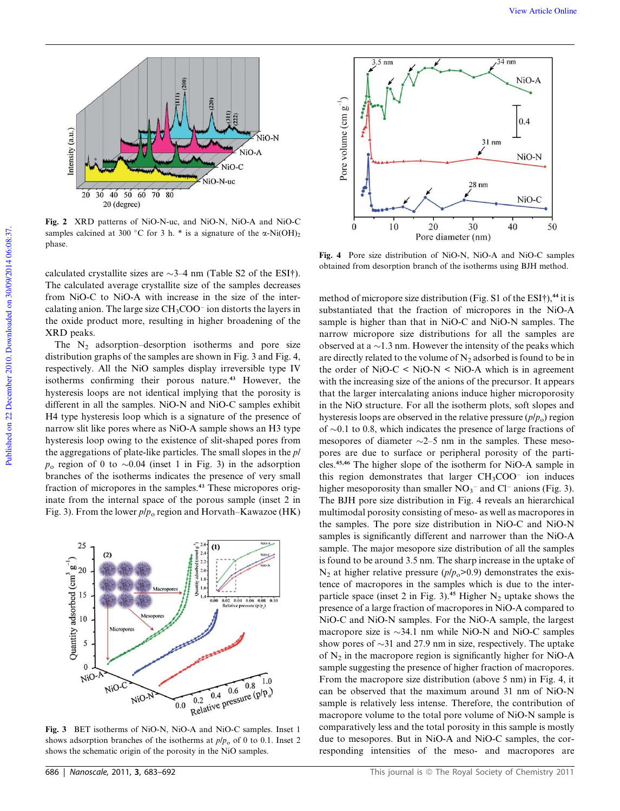

Fig. 2 XRD patterns of NiO-N-uc, and NiO-N, NiO-A and NiO-C samples calcined at 300 °C for 3 h. \* is a signature of the  $\alpha$ -Ni(OH)<sub>2</sub> phase.

calculated crystallite sizes are  $\sim$ 3–4 nm (Table S2 of the ESI†). The calculated average crystallite size of the samples decreases from NiO-C to NiO-A with increase in the size of the intercalating anion. The large size  $\rm CH_3COO^-$  ion distorts the layers in the oxide product more, resulting in higher broadening of the XRD peaks.

The  $N_2$  adsorption–desorption isotherms and pore size distribution graphs of the samples are shown in Fig. 3 and Fig. 4, respectively. All the NiO samples display irreversible type IV isotherms confirming their porous nature.<sup>43</sup> However, the hysteresis loops are not identical implying that the porosity is different in all the samples. NiO-N and NiO-C samples exhibit H4 type hysteresis loop which is a signature of the presence of narrow slit like pores where as NiO-A sample shows an H3 type hysteresis loop owing to the existence of slit-shaped pores from the aggregations of plate-like particles. The small slopes in the *p*/  $p_0$  region of 0 to  $\sim 0.04$  (inset 1 in Fig. 3) in the adsorption branches of the isotherms indicates the presence of very small fraction of micropores in the samples.<sup>43</sup> These micropores originate from the internal space of the porous sample (inset 2 in Fig. 3). From the lower *p*/*p*<sup>o</sup> region and Horvath–Kawazoe (HK)



Fig. 3 BET isotherms of NiO-N, NiO-A and NiO-C samples. Inset 1 shows adsorption branches of the isotherms at  $p/p<sub>o</sub>$  of 0 to 0.1. Inset 2 shows the schematic origin of the porosity in the NiO samples.



Fig. 4 Pore size distribution of NiO-N, NiO-A and NiO-C samples obtained from desorption branch of the isotherms using BJH method.

method of micropore size distribution (Fig. S1 of the ESI†), $44$  it is substantiated that the fraction of micropores in the NiO-A sample is higher than that in NiO-C and NiO-N samples. The narrow micropore size distributions for all the samples are observed at a  $\sim$ 1.3 nm. However the intensity of the peaks which are directly related to the volume of  $N_2$  adsorbed is found to be in the order of  $NiO-C < NiO-N < NiO-A$  which is in agreement with the increasing size of the anions of the precursor. It appears that the larger intercalating anions induce higher microporosity in the NiO structure. For all the isotherm plots, soft slopes and hysteresis loops are observed in the relative pressure  $(p/p_0)$  region of  $\sim$ 0.1 to 0.8, which indicates the presence of large fractions of mesopores of diameter  $\sim$ 2–5 nm in the samples. These mesopores are due to surface or peripheral porosity of the particles.45,46 The higher slope of the isotherm for NiO-A sample in this region demonstrates that larger  $CH<sub>3</sub>COO<sup>-</sup>$  ion induces higher mesoporosity than smaller  $NO<sub>3</sub><sup>-</sup>$  and Cl<sup>-</sup> anions (Fig. 3). The BJH pore size distribution in Fig. 4 reveals an hierarchical multimodal porosity consisting of meso- as well as macropores in the samples. The pore size distribution in NiO-C and NiO-N samples is significantly different and narrower than the NiO-A sample. The major mesopore size distribution of all the samples is found to be around 3.5 nm. The sharp increase in the uptake of  $N_2$  at higher relative pressure ( $p/p_0$ >0.9) demonstrates the existence of macropores in the samples which is due to the interparticle space (inset 2 in Fig. 3).<sup>45</sup> Higher  $N_2$  uptake shows the presence of a large fraction of macropores in NiO-A compared to NiO-C and NiO-N samples. For the NiO-A sample, the largest macropore size is  $\sim$ 34.1 nm while NiO-N and NiO-C samples show pores of  $\sim$ 31 and 27.9 nm in size, respectively. The uptake of  $N<sub>2</sub>$  in the macropore region is significantly higher for NiO-A sample suggesting the presence of higher fraction of macropores. From the macropore size distribution (above 5 nm) in Fig. 4, it can be observed that the maximum around 31 nm of NiO-N sample is relatively less intense. Therefore, the contribution of macropore volume to the total pore volume of NiO-N sample is comparatively less and the total porosity in this sample is mostly due to mesopores. But in NiO-A and NiO-C samples, the corresponding intensities of the meso- and macropores are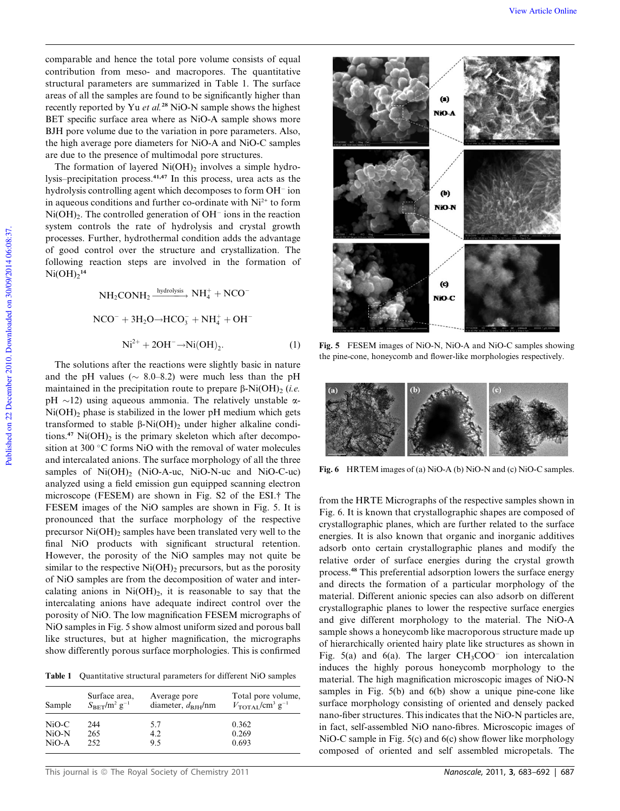comparable and hence the total pore volume consists of equal contribution from meso- and macropores. The quantitative structural parameters are summarized in Table 1. The surface areas of all the samples are found to be significantly higher than recently reported by Yu *et al.*<sup>28</sup> NiO-N sample shows the highest BET specific surface area where as NiO-A sample shows more BJH pore volume due to the variation in pore parameters. Also, the high average pore diameters for NiO-A and NiO-C samples are due to the presence of multimodal pore structures.

The formation of layered  $Ni(OH)_2$  involves a simple hydrolysis–precipitation process.41,47 In this process, urea acts as the hydrolysis controlling agent which decomposes to form OH<sup>-</sup> ion in aqueous conditions and further co-ordinate with Ni<sup>2+</sup> to form  $Ni(OH)_2$ . The controlled generation of  $OH^-$  ions in the reaction system controls the rate of hydrolysis and crystal growth processes. Further, hydrothermal condition adds the advantage of good control over the structure and crystallization. The following reaction steps are involved in the formation of  $Ni(OH)_2^{14}$ 

> $NH_2$ CON $H_2 \xrightarrow{hydrolysis} NH_4^+ + NCO^ NCO^{-} + 3H_2O \rightarrow HCO_3^- + NH_4^+ + OH^ \mathrm{Ni^{2+}} + 2\mathrm{OH^{-}} \rightarrow \mathrm{Ni(OH)}_{2}$ : (1)

The solutions after the reactions were slightly basic in nature and the pH values ( $\sim$  8.0–8.2) were much less than the pH maintained in the precipitation route to prepare  $\beta$ -Ni(OH)<sub>2</sub> (*i.e.* pH  $\sim$ 12) using aqueous ammonia. The relatively unstable  $\alpha$ - $Ni(OH)$ <sub>2</sub> phase is stabilized in the lower pH medium which gets transformed to stable  $\beta$ -Ni(OH)<sub>2</sub> under higher alkaline conditions.<sup>47</sup> Ni $(OH)_2$  is the primary skeleton which after decomposition at 300 $\degree$ C forms NiO with the removal of water molecules and intercalated anions. The surface morphology of all the three samples of  $Ni(OH)_{2}$  (NiO-A-uc, NiO-N-uc and NiO-C-uc) analyzed using a field emission gun equipped scanning electron microscope (FESEM) are shown in Fig. S2 of the ESI.† The FESEM images of the NiO samples are shown in Fig. 5. It is pronounced that the surface morphology of the respective precursor  $Ni(OH)_2$  samples have been translated very well to the final NiO products with significant structural retention. However, the porosity of the NiO samples may not quite be similar to the respective  $Ni(OH)_2$  precursors, but as the porosity of NiO samples are from the decomposition of water and intercalating anions in  $Ni(OH)_2$ , it is reasonable to say that the intercalating anions have adequate indirect control over the porosity of NiO. The low magnification FESEM micrographs of NiO samples in Fig. 5 show almost uniform sized and porous ball like structures, but at higher magnification, the micrographs show differently porous surface morphologies. This is confirmed

Table 1 Quantitative structural parameters for different NiO samples

| Sample  | Surface area.<br>$S_{BET}/m^2 g^{-1}$ | Average pore<br>diameter, $d_{\text{BIH}}/nm$ | Total pore volume,<br>$V_{\text{TOTAL}}/\text{cm}^3 \text{ g}^{-1}$ |
|---------|---------------------------------------|-----------------------------------------------|---------------------------------------------------------------------|
| NiO-C   | 244                                   | 57                                            | 0.362                                                               |
| $NiO-N$ | 265                                   | 4.2                                           | 0.269                                                               |
| $NiO-A$ | 252                                   | 95                                            | 0.693                                                               |



Fig. 5 FESEM images of NiO-N, NiO-A and NiO-C samples showing the pine-cone, honeycomb and flower-like morphologies respectively.



Fig. 6 HRTEM images of (a) NiO-A (b) NiO-N and (c) NiO-C samples.

from the HRTE Micrographs of the respective samples shown in Fig. 6. It is known that crystallographic shapes are composed of crystallographic planes, which are further related to the surface energies. It is also known that organic and inorganic additives adsorb onto certain crystallographic planes and modify the relative order of surface energies during the crystal growth process.<sup>48</sup> This preferential adsorption lowers the surface energy and directs the formation of a particular morphology of the material. Different anionic species can also adsorb on different crystallographic planes to lower the respective surface energies and give different morphology to the material. The NiO-A sample shows a honeycomb like macroporous structure made up of hierarchically oriented hairy plate like structures as shown in Fig.  $5(a)$  and  $6(a)$ . The larger CH<sub>3</sub>COO<sup>-</sup> ion intercalation induces the highly porous honeycomb morphology to the material. The high magnification microscopic images of NiO-N samples in Fig. 5(b) and 6(b) show a unique pine-cone like surface morphology consisting of oriented and densely packed nano-fiber structures. This indicates that the NiO-N particles are, in fact, self-assembled NiO nano-fibres. Microscopic images of NiO-C sample in Fig. 5(c) and 6(c) show flower like morphology composed of oriented and self assembled micropetals. The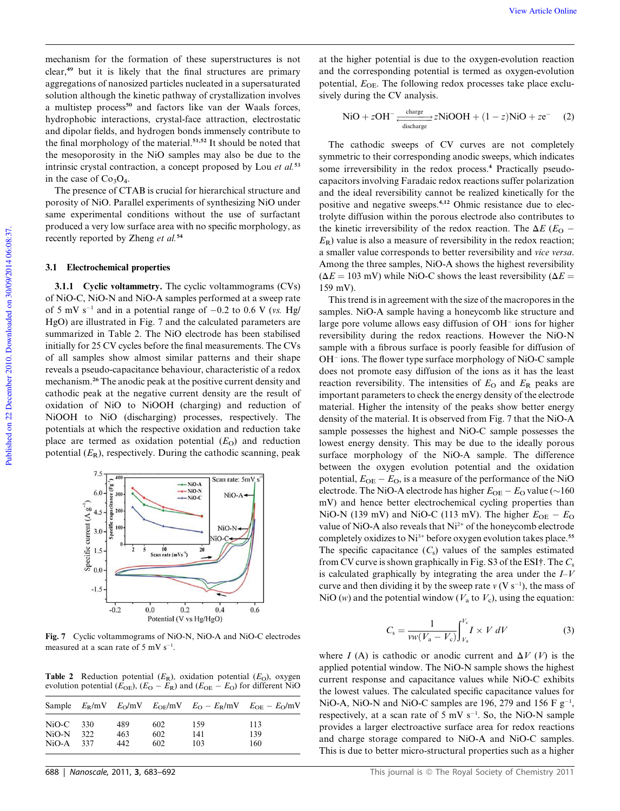mechanism for the formation of these superstructures is not clear,<sup>49</sup> but it is likely that the final structures are primary aggregations of nanosized particles nucleated in a supersaturated solution although the kinetic pathway of crystallization involves a multistep process<sup>50</sup> and factors like van der Waals forces, hydrophobic interactions, crystal-face attraction, electrostatic and dipolar fields, and hydrogen bonds immensely contribute to the final morphology of the material.<sup>51,52</sup> It should be noted that the mesoporosity in the NiO samples may also be due to the intrinsic crystal contraction, a concept proposed by Lou *et al.*<sup>53</sup> in the case of  $Co<sub>3</sub>O<sub>4</sub>$ .

The presence of CTAB is crucial for hierarchical structure and porosity of NiO. Parallel experiments of synthesizing NiO under same experimental conditions without the use of surfactant produced a very low surface area with no specific morphology, as recently reported by Zheng *et al.*<sup>54</sup>

#### 3.1 Electrochemical properties

3.1.1 Cyclic voltammetry. The cyclic voltammograms (CVs) of NiO-C, NiO-N and NiO-A samples performed at a sweep rate of 5 mV  $s^{-1}$  and in a potential range of  $-0.2$  to 0.6 V (*vs.* Hg/ HgO) are illustrated in Fig. 7 and the calculated parameters are summarized in Table 2. The NiO electrode has been stabilised initially for 25 CV cycles before the final measurements. The CVs of all samples show almost similar patterns and their shape reveals a pseudo-capacitance behaviour, characteristic of a redox mechanism.<sup>26</sup> The anodic peak at the positive current density and cathodic peak at the negative current density are the result of oxidation of NiO to NiOOH (charging) and reduction of NiOOH to NiO (discharging) processes, respectively. The potentials at which the respective oxidation and reduction take place are termed as oxidation potential  $(E<sub>O</sub>)$  and reduction potential  $(E_R)$ , respectively. During the cathodic scanning, peak



Fig. 7 Cyclic voltammograms of NiO-N, NiO-A and NiO-C electrodes measured at a scan rate of  $5 \text{ mV s}^{-1}$ .

Table 2 Reduction potential  $(E_R)$ , oxidation potential  $(E_O)$ , oxygen evolution potential  $(E_{OE})$ ,  $(E_O - E_R)$  and  $(E_{OE} - E_O)$  for different NiO

| Sample  |     |     |     |     | $E_R/mV$ $E_O/mV$ $E_{OF}/mV$ $E_O - E_R/mV$ $E_{OF} - E_O/mV$ |
|---------|-----|-----|-----|-----|----------------------------------------------------------------|
| $NiO-C$ | 330 | 489 | 602 | 159 | 113                                                            |
| $NiO-N$ | 322 | 463 | 602 | 141 | 139                                                            |
| $NiO-A$ | 337 | 442 | 602 | 103 | 160                                                            |

at the higher potential is due to the oxygen-evolution reaction and the corresponding potential is termed as oxygen-evolution potential,  $E_{\text{OE}}$ . The following redox processes take place exclusively during the CV analysis.

$$
NiO + zOH^{-} \xrightarrow[\text{discharge}]{\text{charge}} zNiOOH + (1 - z)NiO + ze^{-} \quad (2)
$$

The cathodic sweeps of CV curves are not completely symmetric to their corresponding anodic sweeps, which indicates some irreversibility in the redox process.<sup>4</sup> Practically pseudocapacitors involving Faradaic redox reactions suffer polarization and the ideal reversibility cannot be realized kinetically for the positive and negative sweeps.4,12 Ohmic resistance due to electrolyte diffusion within the porous electrode also contributes to the kinetic irreversibility of the redox reaction. The  $\Delta E$  ( $E_{\Omega}$  - $E_R$ ) value is also a measure of reversibility in the redox reaction; a smaller value corresponds to better reversibility and *vice versa*. Among the three samples, NiO-A shows the highest reversibility  $(\Delta E = 103 \text{ mV})$  while NiO-C shows the least reversibility ( $\Delta E =$ 159 mV).

This trend is in agreement with the size of the macropores in the samples. NiO-A sample having a honeycomb like structure and large pore volume allows easy diffusion of OH<sup>-</sup> ions for higher reversibility during the redox reactions. However the NiO-N sample with a fibrous surface is poorly feasible for diffusion of OH<sup>-</sup> ions. The flower type surface morphology of NiO-C sample does not promote easy diffusion of the ions as it has the least reaction reversibility. The intensities of  $E_{\text{O}}$  and  $E_{\text{R}}$  peaks are important parameters to check the energy density of the electrode material. Higher the intensity of the peaks show better energy density of the material. It is observed from Fig. 7 that the NiO-A sample possesses the highest and NiO-C sample possesses the lowest energy density. This may be due to the ideally porous surface morphology of the NiO-A sample. The difference between the oxygen evolution potential and the oxidation potential,  $E_{OE} - E_O$ , is a measure of the performance of the NiO electrode. The NiO-A electrode has higher  $E_{\text{OE}} - E_{\text{O}}$  value ( $\sim$ 160 mV) and hence better electrochemical cycling properties than NiO-N (139 mV) and NiO-C (113 mV). The higher  $E_{OE} - E_{O}$ value of NiO-A also reveals that Ni<sup>2+</sup> of the honeycomb electrode completely oxidizes to Ni<sup>3+</sup> before oxygen evolution takes place.<sup>55</sup> The specific capacitance  $(C_s)$  values of the samples estimated from CV curve is shown graphically in Fig. S3 of the ESI†. The *C*<sup>s</sup> is calculated graphically by integrating the area under the *I*–*V* curve and then dividing it by the sweep rate  $v(V \, s^{-1})$ , the mass of NiO (*w*) and the potential window ( $V_a$  to  $V_c$ ), using the equation:

$$
C_{\rm s} = \frac{1}{vw(V_{\rm a} - V_{\rm c})} \int_{V_{\rm a}}^{V_{\rm c}} I \times V \, dV \tag{3}
$$

where *I* (A) is cathodic or anodic current and  $\Delta V$  (*V*) is the applied potential window. The NiO-N sample shows the highest current response and capacitance values while NiO-C exhibits the lowest values. The calculated specific capacitance values for NiO-A, NiO-N and NiO-C samples are 196, 279 and 156 F  $g^{-1}$ , respectively, at a scan rate of  $5 \text{ mV s}^{-1}$ . So, the NiO-N sample provides a larger electroactive surface area for redox reactions and charge storage compared to NiO-A and NiO-C samples. This is due to better micro-structural properties such as a higher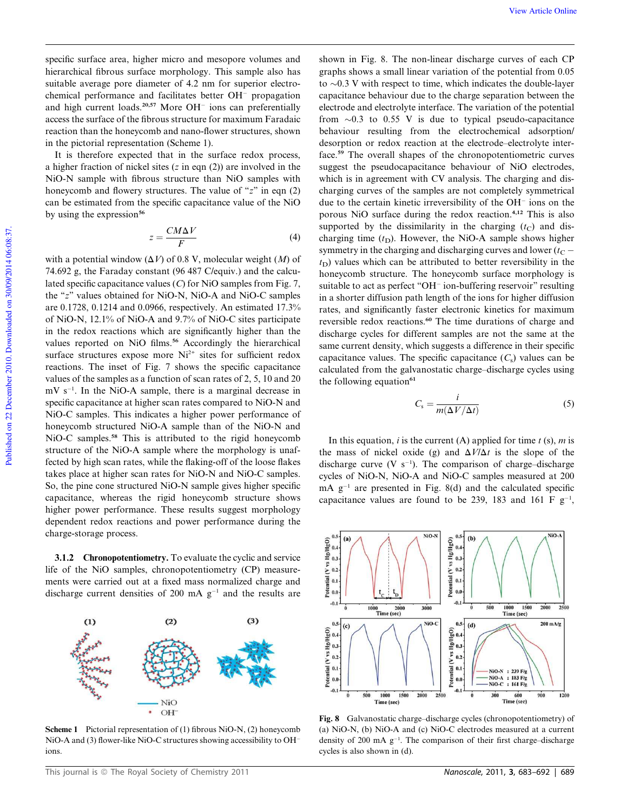specific surface area, higher micro and mesopore volumes and hierarchical fibrous surface morphology. This sample also has suitable average pore diameter of 4.2 nm for superior electrochemical performance and facilitates better OH<sup>-</sup> propagation and high current loads.<sup>20,57</sup> More OH<sup>-</sup> ions can preferentially access the surface of the fibrous structure for maximum Faradaic reaction than the honeycomb and nano-flower structures, shown in the pictorial representation (Scheme 1).

It is therefore expected that in the surface redox process, a higher fraction of nickel sites (*z* in eqn (2)) are involved in the NiO-N sample with fibrous structure than NiO samples with honeycomb and flowery structures. The value of "*z*" in eqn (2) can be estimated from the specific capacitance value of the NiO by using the expression $56$ 

$$
z = \frac{CM\Delta V}{F} \tag{4}
$$

with a potential window  $(\Delta V)$  of 0.8 V, molecular weight  $(M)$  of 74.692 g, the Faraday constant (96 487 C/equiv.) and the calculated specific capacitance values (*C*) for NiO samples from Fig. 7, the "*z*" values obtained for NiO-N, NiO-A and NiO-C samples are 0.1728, 0.1214 and 0.0966, respectively. An estimated 17.3% of NiO-N, 12.1% of NiO-A and 9.7% of NiO-C sites participate in the redox reactions which are significantly higher than the values reported on NiO films.<sup>56</sup> Accordingly the hierarchical surface structures expose more  $Ni<sup>2+</sup>$  sites for sufficient redox reactions. The inset of Fig. 7 shows the specific capacitance values of the samples as a function of scan rates of 2, 5, 10 and 20 mV s<sup>-1</sup>. In the NiO-A sample, there is a marginal decrease in specific capacitance at higher scan rates compared to NiO-N and NiO-C samples. This indicates a higher power performance of honeycomb structured NiO-A sample than of the NiO-N and NiO-C samples.<sup>58</sup> This is attributed to the rigid honeycomb structure of the NiO-A sample where the morphology is unaffected by high scan rates, while the flaking-off of the loose flakes takes place at higher scan rates for NiO-N and NiO-C samples. So, the pine cone structured NiO-N sample gives higher specific capacitance, whereas the rigid honeycomb structure shows higher power performance. These results suggest morphology dependent redox reactions and power performance during the charge-storage process.

3.1.2 Chronopotentiometry. To evaluate the cyclic and service life of the NiO samples, chronopotentiometry (CP) measurements were carried out at a fixed mass normalized charge and discharge current densities of 200 mA  $g^{-1}$  and the results are

 $(2)$ 

 $(3)$ 



NiO OH

shown in Fig. 8. The non-linear discharge curves of each CP graphs shows a small linear variation of the potential from 0.05 to  $\sim$ 0.3 V with respect to time, which indicates the double-layer capacitance behaviour due to the charge separation between the electrode and electrolyte interface. The variation of the potential from  $\sim 0.3$  to 0.55 V is due to typical pseudo-capacitance behaviour resulting from the electrochemical adsorption/ desorption or redox reaction at the electrode–electrolyte interface.<sup>59</sup> The overall shapes of the chronopotentiometric curves suggest the pseudocapacitance behaviour of NiO electrodes, which is in agreement with CV analysis. The charging and discharging curves of the samples are not completely symmetrical due to the certain kinetic irreversibility of the  $OH<sup>-</sup>$  ions on the porous NiO surface during the redox reaction.4,12 This is also supported by the dissimilarity in the charging  $(t_C)$  and discharging time  $(t<sub>D</sub>)$ . However, the NiO-A sample shows higher symmetry in the charging and discharging curves and lower  $(t_C$  $t<sub>D</sub>$ ) values which can be attributed to better reversibility in the honeycomb structure. The honeycomb surface morphology is suitable to act as perfect "OH<sup>-</sup> ion-buffering reservoir" resulting in a shorter diffusion path length of the ions for higher diffusion rates, and significantly faster electronic kinetics for maximum reversible redox reactions.<sup>60</sup> The time durations of charge and discharge cycles for different samples are not the same at the same current density, which suggests a difference in their specific capacitance values. The specific capacitance  $(C_s)$  values can be calculated from the galvanostatic charge–discharge cycles using the following equation $61$ 

$$
C_{\rm s} = \frac{i}{m(\Delta V/\Delta t)}\tag{5}
$$

In this equation, *i* is the current (A) applied for time  $t$  (s),  $m$  is the mass of nickel oxide (g) and  $\Delta V/\Delta t$  is the slope of the discharge curve  $(V \text{ s}^{-1})$ . The comparison of charge-discharge cycles of NiO-N, NiO-A and NiO-C samples measured at 200  $mA$   $g^{-1}$  are presented in Fig. 8(d) and the calculated specific capacitance values are found to be 239, 183 and 161 F  $g^{-1}$ ,



Fig. 8 Galvanostatic charge–discharge cycles (chronopotentiometry) of (a) NiO-N, (b) NiO-A and (c) NiO-C electrodes measured at a current density of 200 mA g<sup>-1</sup>. The comparison of their first charge-discharge cycles is also shown in (d).

 $(1)$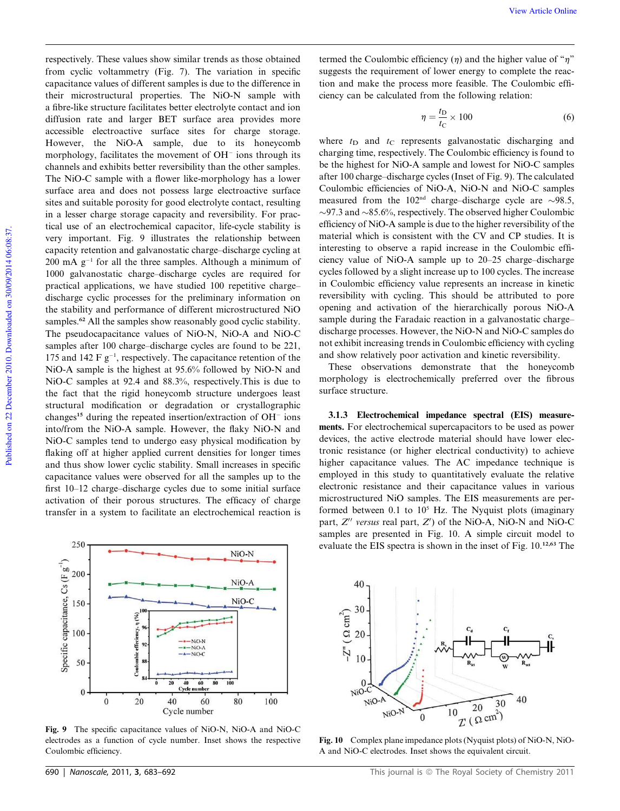respectively. These values show similar trends as those obtained from cyclic voltammetry (Fig. 7). The variation in specific capacitance values of different samples is due to the difference in their microstructural properties. The NiO-N sample with a fibre-like structure facilitates better electrolyte contact and ion diffusion rate and larger BET surface area provides more accessible electroactive surface sites for charge storage. However, the NiO-A sample, due to its honeycomb morphology, facilitates the movement of OH<sup>-</sup> ions through its channels and exhibits better reversibility than the other samples. The NiO-C sample with a flower like-morphology has a lower surface area and does not possess large electroactive surface sites and suitable porosity for good electrolyte contact, resulting in a lesser charge storage capacity and reversibility. For practical use of an electrochemical capacitor, life-cycle stability is very important. Fig. 9 illustrates the relationship between capacity retention and galvanostatic charge–discharge cycling at  $200 \text{ mA } g^{-1}$  for all the three samples. Although a minimum of 1000 galvanostatic charge–discharge cycles are required for practical applications, we have studied 100 repetitive charge– discharge cyclic processes for the preliminary information on the stability and performance of different microstructured NiO samples.<sup>62</sup> All the samples show reasonably good cyclic stability. The pseudocapacitance values of NiO-N, NiO-A and NiO-C samples after 100 charge–discharge cycles are found to be 221, 175 and 142  $F g^{-1}$ , respectively. The capacitance retention of the NiO-A sample is the highest at 95.6% followed by NiO-N and NiO-C samples at 92.4 and 88.3%, respectively.This is due to the fact that the rigid honeycomb structure undergoes least structural modification or degradation or crystallographic changes<sup>15</sup> during the repeated insertion/extraction of OH<sup>-</sup> ions into/from the NiO-A sample. However, the flaky NiO-N and NiO-C samples tend to undergo easy physical modification by flaking off at higher applied current densities for longer times and thus show lower cyclic stability. Small increases in specific capacitance values were observed for all the samples up to the first 10–12 charge–discharge cycles due to some initial surface activation of their porous structures. The efficacy of charge transfer in a system to facilitate an electrochemical reaction is termed the Coulombic efficiency  $(\eta)$  and the higher value of " $\eta$ " suggests the requirement of lower energy to complete the reaction and make the process more feasible. The Coulombic efficiency can be calculated from the following relation:

$$
\eta = \frac{t_{\rm D}}{t_{\rm C}} \times 100\tag{6}
$$

where  $t_D$  and  $t_C$  represents galvanostatic discharging and charging time, respectively. The Coulombic efficiency is found to be the highest for NiO-A sample and lowest for NiO-C samples after 100 charge–discharge cycles (Inset of Fig. 9). The calculated Coulombic efficiencies of NiO-A, NiO-N and NiO-C samples measured from the 102<sup>nd</sup> charge–discharge cycle are  $\sim$ 98.5,  $\sim$ 97.3 and  $\sim$ 85.6%, respectively. The observed higher Coulombic efficiency of NiO-A sample is due to the higher reversibility of the material which is consistent with the CV and CP studies. It is interesting to observe a rapid increase in the Coulombic efficiency value of NiO-A sample up to 20–25 charge–discharge cycles followed by a slight increase up to 100 cycles. The increase in Coulombic efficiency value represents an increase in kinetic reversibility with cycling. This should be attributed to pore opening and activation of the hierarchically porous NiO-A sample during the Faradaic reaction in a galvanostatic charge– discharge processes. However, the NiO-N and NiO-C samples do not exhibit increasing trends in Coulombic efficiency with cycling and show relatively poor activation and kinetic reversibility.

These observations demonstrate that the honeycomb morphology is electrochemically preferred over the fibrous surface structure.

3.1.3 Electrochemical impedance spectral (EIS) measurements. For electrochemical supercapacitors to be used as power devices, the active electrode material should have lower electronic resistance (or higher electrical conductivity) to achieve higher capacitance values. The AC impedance technique is employed in this study to quantitatively evaluate the relative electronic resistance and their capacitance values in various microstructured NiO samples. The EIS measurements are performed between  $0.1$  to  $10<sup>5</sup>$  Hz. The Nyquist plots (imaginary part, Z" versus real part, Z') of the NiO-A, NiO-N and NiO-C samples are presented in Fig. 10. A simple circuit model to evaluate the EIS spectra is shown in the inset of Fig. 10.12,63 The



Fig. 9 The specific capacitance values of NiO-N, NiO-A and NiO-C electrodes as a function of cycle number. Inset shows the respective Coulombic efficiency.



Fig. 10 Complex plane impedance plots (Nyquist plots) of NiO-N, NiO-A and NiO-C electrodes. Inset shows the equivalent circuit.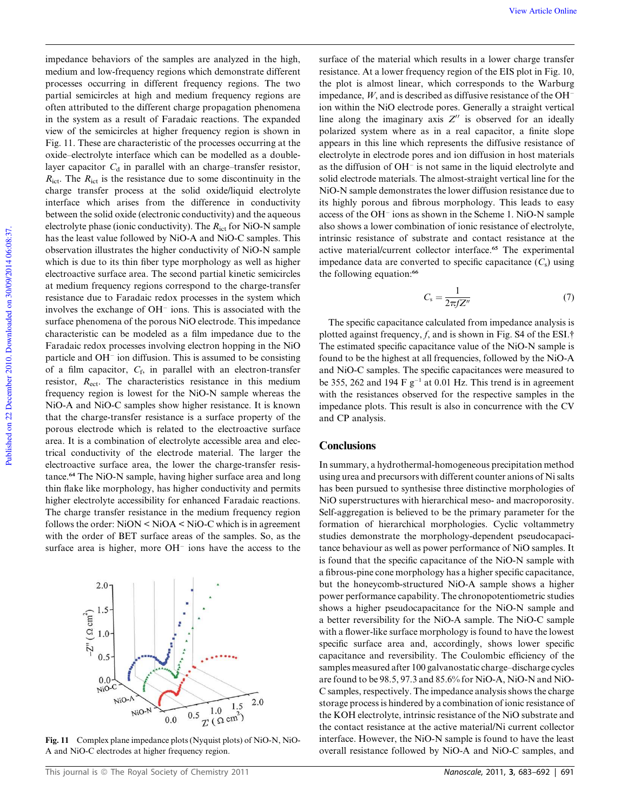impedance behaviors of the samples are analyzed in the high, medium and low-frequency regions which demonstrate different processes occurring in different frequency regions. The two partial semicircles at high and medium frequency regions are often attributed to the different charge propagation phenomena in the system as a result of Faradaic reactions. The expanded view of the semicircles at higher frequency region is shown in Fig. 11. These are characteristic of the processes occurring at the oxide–electrolyte interface which can be modelled as a doublelayer capacitor  $C_d$  in parallel with an charge–transfer resistor,  $R_{\text{ict}}$ . The  $R_{\text{ict}}$  is the resistance due to some discontinuity in the charge transfer process at the solid oxide/liquid electrolyte interface which arises from the difference in conductivity between the solid oxide (electronic conductivity) and the aqueous electrolyte phase (ionic conductivity). The *R*ict for NiO-N sample has the least value followed by NiO-A and NiO-C samples. This observation illustrates the higher conductivity of NiO-N sample which is due to its thin fiber type morphology as well as higher electroactive surface area. The second partial kinetic semicircles at medium frequency regions correspond to the charge-transfer resistance due to Faradaic redox processes in the system which involves the exchange of  $OH^-$  ions. This is associated with the surface phenomena of the porous NiO electrode. This impedance characteristic can be modeled as a film impedance due to the Faradaic redox processes involving electron hopping in the NiO particle and OH<sup>-</sup> ion diffusion. This is assumed to be consisting of a film capacitor, *C*<sup>f</sup> , in parallel with an electron-transfer resistor, *R*<sub>ect</sub>. The characteristics resistance in this medium frequency region is lowest for the NiO-N sample whereas the NiO-A and NiO-C samples show higher resistance. It is known that the charge-transfer resistance is a surface property of the porous electrode which is related to the electroactive surface area. It is a combination of electrolyte accessible area and electrical conductivity of the electrode material. The larger the electroactive surface area, the lower the charge-transfer resistance.<sup>64</sup> The NiO-N sample, having higher surface area and long thin flake like morphology, has higher conductivity and permits higher electrolyte accessibility for enhanced Faradaic reactions. The charge transfer resistance in the medium frequency region follows the order:  $NiON < NiOA < NiO-C$  which is in agreement with the order of BET surface areas of the samples. So, as the surface area is higher, more  $OH^-$  ions have the access to the

Fig. 11 Complex plane impedance plots (Nyquist plots) of NiO-N, NiO-A and NiO-C electrodes at higher frequency region.

surface of the material which results in a lower charge transfer resistance. At a lower frequency region of the EIS plot in Fig. 10, the plot is almost linear, which corresponds to the Warburg impedance, *W*, and is described as diffusive resistance of the OH ion within the NiO electrode pores. Generally a straight vertical line along the imaginary axis  $Z''$  is observed for an ideally polarized system where as in a real capacitor, a finite slope appears in this line which represents the diffusive resistance of electrolyte in electrode pores and ion diffusion in host materials as the diffusion of OH<sup>-</sup> is not same in the liquid electrolyte and solid electrode materials. The almost-straight vertical line for the NiO-N sample demonstrates the lower diffusion resistance due to its highly porous and fibrous morphology. This leads to easy access of the OH<sup>-</sup> ions as shown in the Scheme 1. NiO-N sample also shows a lower combination of ionic resistance of electrolyte, intrinsic resistance of substrate and contact resistance at the active material/current collector interface.<sup>65</sup> The experimental impedance data are converted to specific capacitance  $(C_s)$  using the following equation:<sup>66</sup>

$$
C_{\rm s} = \frac{1}{2\pi f Z''}
$$
\n<sup>(7)</sup>

The specific capacitance calculated from impedance analysis is plotted against frequency, *f*, and is shown in Fig. S4 of the ESI.† The estimated specific capacitance value of the NiO-N sample is found to be the highest at all frequencies, followed by the NiO-A and NiO-C samples. The specific capacitances were measured to be 355, 262 and 194  $F g^{-1}$  at 0.01 Hz. This trend is in agreement with the resistances observed for the respective samples in the impedance plots. This result is also in concurrence with the CV and CP analysis.

# **Conclusions**

In summary, a hydrothermal-homogeneous precipitation method using urea and precursors with different counter anions of Ni salts has been pursued to synthesise three distinctive morphologies of NiO superstructures with hierarchical meso- and macroporosity. Self-aggregation is believed to be the primary parameter for the formation of hierarchical morphologies. Cyclic voltammetry studies demonstrate the morphology-dependent pseudocapacitance behaviour as well as power performance of NiO samples. It is found that the specific capacitance of the NiO-N sample with a fibrous-pine cone morphology has a higher specific capacitance, but the honeycomb-structured NiO-A sample shows a higher power performance capability. The chronopotentiometric studies shows a higher pseudocapacitance for the NiO-N sample and a better reversibility for the NiO-A sample. The NiO-C sample with a flower-like surface morphology is found to have the lowest specific surface area and, accordingly, shows lower specific capacitance and reversibility. The Coulombic efficiency of the samples measured after 100 galvanostatic charge–discharge cycles are found to be 98.5, 97.3 and 85.6% for NiO-A, NiO-N and NiO-C samples, respectively. The impedance analysis shows the charge storage process is hindered by a combination of ionic resistance of the KOH electrolyte, intrinsic resistance of the NiO substrate and the contact resistance at the active material/Ni current collector interface. However, the NiO-N sample is found to have the least overall resistance followed by NiO-A and NiO-C samples, and